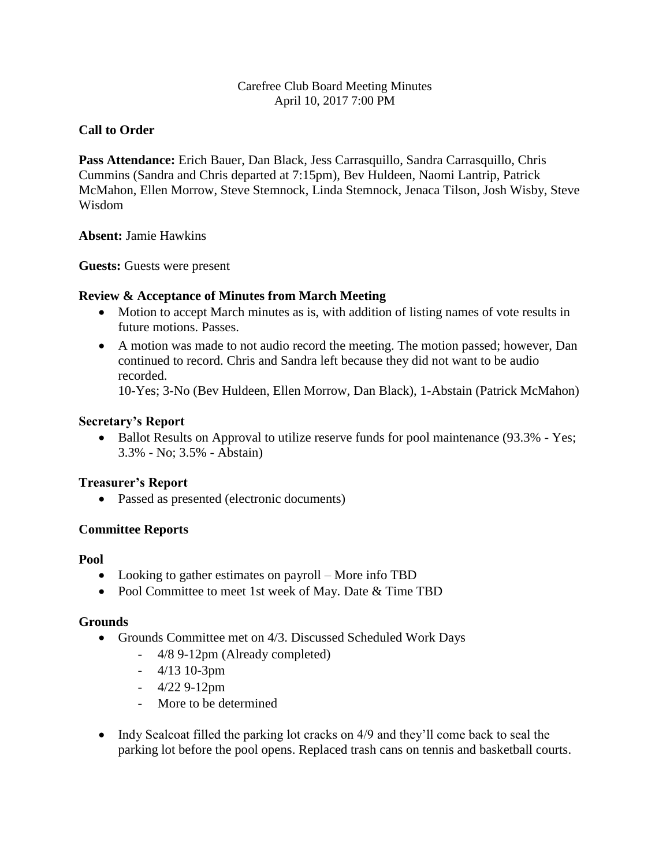## Carefree Club Board Meeting Minutes April 10, 2017 7:00 PM

# **Call to Order**

**Pass Attendance:** Erich Bauer, Dan Black, Jess Carrasquillo, Sandra Carrasquillo, Chris Cummins (Sandra and Chris departed at 7:15pm), Bev Huldeen, Naomi Lantrip, Patrick McMahon, Ellen Morrow, Steve Stemnock, Linda Stemnock, Jenaca Tilson, Josh Wisby, Steve Wisdom

**Absent:** Jamie Hawkins

**Guests:** Guests were present

# **Review & Acceptance of Minutes from March Meeting**

- Motion to accept March minutes as is, with addition of listing names of vote results in future motions. Passes.
- A motion was made to not audio record the meeting. The motion passed; however, Dan continued to record. Chris and Sandra left because they did not want to be audio recorded.

10-Yes; 3-No (Bev Huldeen, Ellen Morrow, Dan Black), 1-Abstain (Patrick McMahon)

## **Secretary's Report**

• Ballot Results on Approval to utilize reserve funds for pool maintenance (93.3% - Yes; 3.3% - No; 3.5% - Abstain)

# **Treasurer's Report**

Passed as presented (electronic documents)

# **Committee Reports**

### **Pool**

- Looking to gather estimates on payroll More info TBD
- Pool Committee to meet 1st week of May. Date & Time TBD

### **Grounds**

- Grounds Committee met on 4/3. Discussed Scheduled Work Days
	- 4/8 9-12pm (Already completed)
	- 4/13 10-3pm
	- 4/22 9-12pm
	- More to be determined
- Indy Sealcoat filled the parking lot cracks on 4/9 and they'll come back to seal the parking lot before the pool opens. Replaced trash cans on tennis and basketball courts.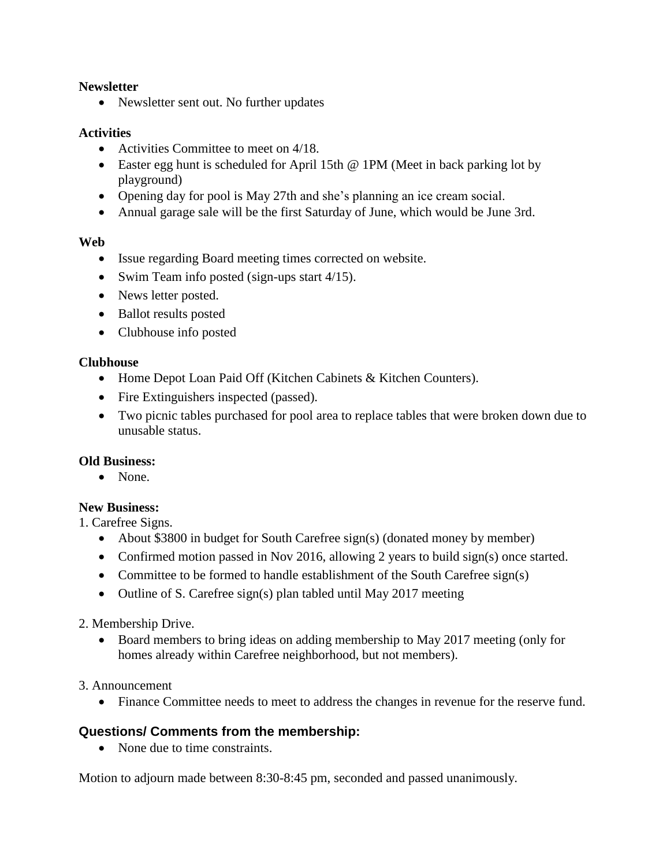## **Newsletter**

• Newsletter sent out. No further updates

## **Activities**

- Activities Committee to meet on 4/18.
- Easter egg hunt is scheduled for April 15th @ 1PM (Meet in back parking lot by playground)
- Opening day for pool is May 27th and she's planning an ice cream social.
- Annual garage sale will be the first Saturday of June, which would be June 3rd.

## **Web**

- Issue regarding Board meeting times corrected on website.
- Swim Team info posted (sign-ups start 4/15).
- News letter posted.
- Ballot results posted
- Clubhouse info posted

### **Clubhouse**

- Home Depot Loan Paid Off (Kitchen Cabinets & Kitchen Counters).
- Fire Extinguishers inspected (passed).
- Two picnic tables purchased for pool area to replace tables that were broken down due to unusable status.

### **Old Business:**

• None.

# **New Business:**

1. Carefree Signs.

- About \$3800 in budget for South Carefree sign(s) (donated money by member)
- Confirmed motion passed in Nov 2016, allowing 2 years to build sign(s) once started.
- Committee to be formed to handle establishment of the South Carefree sign(s)
- Outline of S. Carefree sign(s) plan tabled until May 2017 meeting

### 2. Membership Drive.

• Board members to bring ideas on adding membership to May 2017 meeting (only for homes already within Carefree neighborhood, but not members).

### 3. Announcement

Finance Committee needs to meet to address the changes in revenue for the reserve fund.

# **Questions/ Comments from the membership:**

• None due to time constraints.

Motion to adjourn made between 8:30-8:45 pm, seconded and passed unanimously.